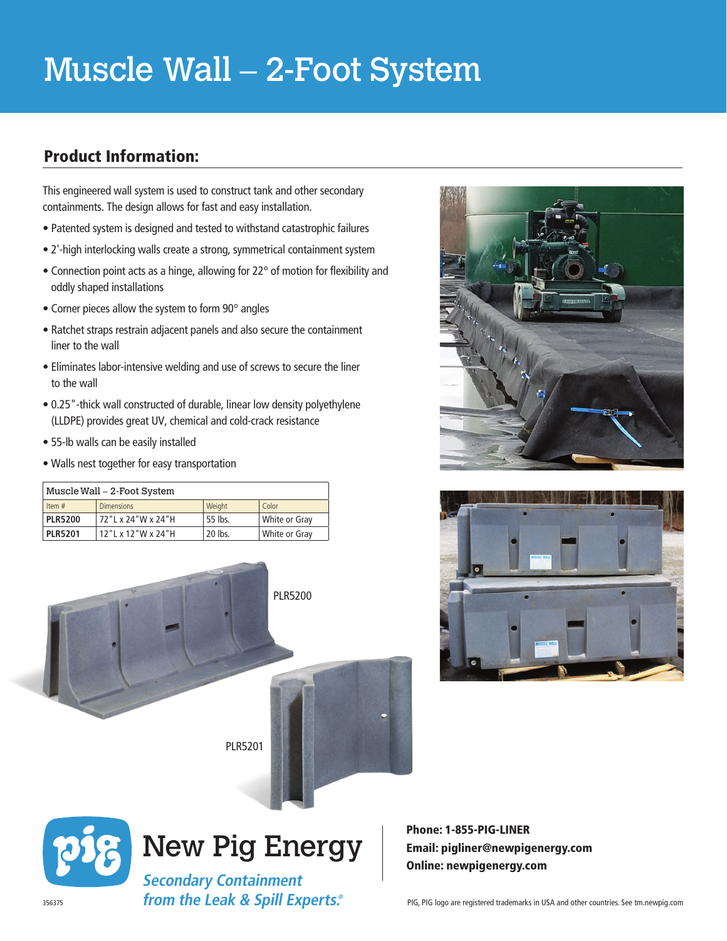# Muscle Wall – 2-Foot System

## Product Information:

This engineered wall system is used to construct tank and other secondary containments. The design allows for fast and easy installation.

- Patented system is designed and tested to withstand catastrophic failures
- 2'-high interlocking walls create a strong, symmetrical containment system
- Connection point acts as a hinge, allowing for 22° of motion for flexibility and oddly shaped installations
- Corner pieces allow the system to form 90° angles
- Ratchet straps restrain adjacent panels and also secure the containment liner to the wall
- Eliminates labor-intensive welding and use of screws to secure the liner to the wall
- 0.25"-thick wall constructed of durable, linear low density polyethylene (LLDPE) provides great UV, chemical and cold-crack resistance
- 55-lb walls can be easily installed
- Walls nest together for easy transportation

| Muscle Wall – 2-Foot System |                                |         |               |  |  |  |  |
|-----------------------------|--------------------------------|---------|---------------|--|--|--|--|
| Item #                      | <b>Dimensions</b>              | Weight  | Color         |  |  |  |  |
| <b>PLR5200</b>              | 72 "L x 24"W x 24"H            | 55 lbs. | White or Gray |  |  |  |  |
| <b>PLR5201</b>              | $12$ "   x $12$ " W x $24$ " H | 20 lbs. | White or Gray |  |  |  |  |







Phone: 1-855-PIG-LINER Email: pigliner@newpigenergy.com Online: newpigenergy.com

**Secondary Containment from the Leak & Spill Experts.®**

New Pig Energy